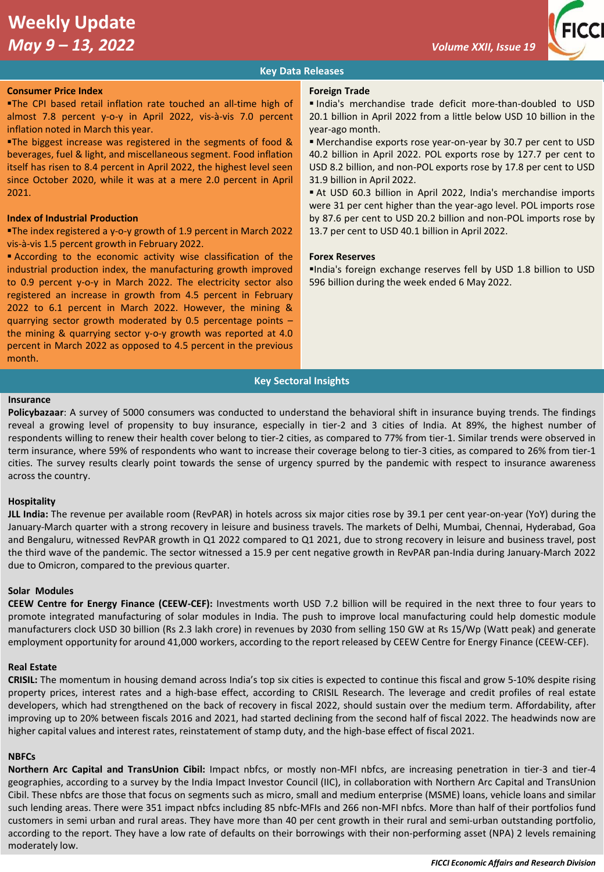# **Weekly Update**  *May 9 – 13, 2022 Volume XXII, Issue 19*



# **Key Data Releases**

### **Consumer Price Index**

**The CPI based retail inflation rate touched an all-time high of** almost 7.8 percent y-o-y in April 2022, vis-à-vis 7.0 percent inflation noted in March this year.

**The biggest increase was registered in the segments of food &** beverages, fuel & light, and miscellaneous segment. Food inflation itself has risen to 8.4 percent in April 2022, the highest level seen since October 2020, while it was at a mere 2.0 percent in April 2021.

# **Index of Industrial Production**

■The index registered a y-o-y growth of 1.9 percent in March 2022 vis-à-vis 1.5 percent growth in February 2022.

▪ According to the economic activity wise classification of the industrial production index, the manufacturing growth improved to 0.9 percent y-o-y in March 2022. The electricity sector also registered an increase in growth from 4.5 percent in February 2022 to 6.1 percent in March 2022. However, the mining & quarrying sector growth moderated by 0.5 percentage points – the mining & quarrying sector y-o-y growth was reported at 4.0 percent in March 2022 as opposed to 4.5 percent in the previous month.

### **Foreign Trade**

▪ India's merchandise trade deficit more-than-doubled to USD 20.1 billion in April 2022 from a little below USD 10 billion in the year-ago month.

▪ Merchandise exports rose year-on-year by 30.7 per cent to USD 40.2 billion in April 2022. POL exports rose by 127.7 per cent to USD 8.2 billion, and non-POL exports rose by 17.8 per cent to USD 31.9 billion in April 2022.

▪ At USD 60.3 billion in April 2022, India's merchandise imports were 31 per cent higher than the year-ago level. POL imports rose by 87.6 per cent to USD 20.2 billion and non-POL imports rose by 13.7 per cent to USD 40.1 billion in April 2022.

# **Forex Reserves**

▪India's foreign exchange reserves fell by USD 1.8 billion to USD 596 billion during the week ended 6 May 2022.

# **Key Sectoral Insights**

## **Insurance**

**Policybazaar**: A survey of 5000 consumers was conducted to understand the behavioral shift in insurance buying trends. The findings reveal a growing level of propensity to buy insurance, especially in tier-2 and 3 cities of India. At 89%, the highest number of respondents willing to renew their health cover belong to tier-2 cities, as compared to 77% from tier-1. Similar trends were observed in term insurance, where 59% of respondents who want to increase their coverage belong to tier-3 cities, as compared to 26% from tier-1 cities. The survey results clearly point towards the sense of urgency spurred by the pandemic with respect to insurance awareness across the country.

## **Hospitality**

**JLL India:** The revenue per available room (RevPAR) in hotels across six major cities rose by 39.1 per cent year-on-year (YoY) during the January-March quarter with a strong recovery in leisure and business travels. The markets of Delhi, Mumbai, Chennai, Hyderabad, Goa and Bengaluru, witnessed RevPAR growth in Q1 2022 compared to Q1 2021, due to strong recovery in leisure and business travel, post the third wave of the pandemic. The sector witnessed a 15.9 per cent negative growth in RevPAR pan-India during January-March 2022 due to Omicron, compared to the previous quarter.

#### **Solar Modules**

**CEEW Centre for Energy Finance (CEEW-CEF):** Investments worth USD 7.2 billion will be required in the next three to four years to promote integrated manufacturing of solar modules in India. The push to improve local manufacturing could help domestic module manufacturers clock USD 30 billion (Rs 2.3 lakh crore) in revenues by 2030 from selling 150 GW at Rs 15/Wp (Watt peak) and generate employment opportunity for around 41,000 workers, according to the report released by CEEW Centre for Energy Finance (CEEW-CEF).

#### **Real Estate**

**CRISIL:** The momentum in housing demand across India's top six cities is expected to continue this fiscal and grow 5-10% despite rising property prices, interest rates and a high-base effect, according to CRISIL Research. The leverage and credit profiles of real estate developers, which had strengthened on the back of recovery in fiscal 2022, should sustain over the medium term. Affordability, after improving up to 20% between fiscals 2016 and 2021, had started declining from the second half of fiscal 2022. The headwinds now are higher capital values and interest rates, reinstatement of stamp duty, and the high-base effect of fiscal 2021.

# **NBFCs**

**Northern Arc Capital and TransUnion Cibil:** Impact nbfcs, or mostly non-MFI nbfcs, are increasing penetration in tier-3 and tier-4 geographies, according to a survey by the India Impact Investor Council (IIC), in collaboration with Northern Arc Capital and TransUnion Cibil. These nbfcs are those that focus on segments such as micro, small and medium enterprise (MSME) loans, vehicle loans and similar such lending areas. There were 351 impact nbfcs including 85 nbfc-MFIs and 266 non-MFI nbfcs. More than half of their portfolios fund customers in semi urban and rural areas. They have more than 40 per cent growth in their rural and semi-urban outstanding portfolio, according to the report. They have a low rate of defaults on their borrowings with their non-performing asset (NPA) 2 levels remaining moderately low.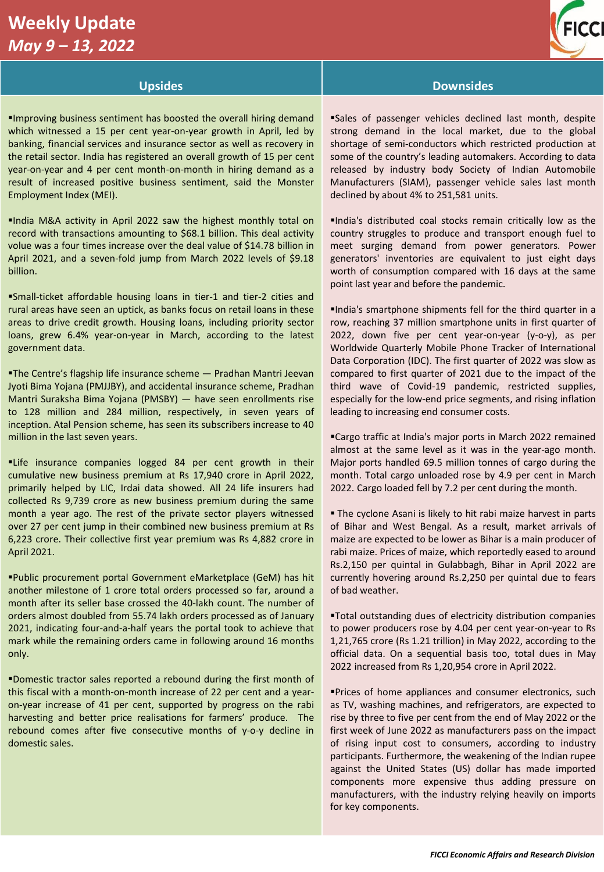# **Weekly Update**  *May 9 – 13, 2022*

*, 2022* 



# **Upsides Downsides**

# ▪Improving business sentiment has boosted the overall hiring demand which witnessed a 15 per cent year-on-year growth in April, led by banking, financial services and insurance sector as well as recovery in the retail sector. India has registered an overall growth of 15 per cent year-on-year and 4 per cent month-on-month in hiring demand as a result of increased positive business sentiment, said the Monster Employment Index (MEI).

▪India M&A activity in April 2022 saw the highest monthly total on record with transactions amounting to \$68.1 billion. This deal activity volue was a four times increase over the deal value of \$14.78 billion in April 2021, and a seven-fold jump from March 2022 levels of \$9.18 billion.

▪Small-ticket affordable housing loans in tier-1 and tier-2 cities and rural areas have seen an uptick, as banks focus on retail loans in these areas to drive credit growth. Housing loans, including priority sector loans, grew 6.4% year-on-year in March, according to the latest government data.

**The Centre's flagship life insurance scheme - Pradhan Mantri Jeevan** Jyoti Bima Yojana (PMJJBY), and accidental insurance scheme, Pradhan Mantri Suraksha Bima Yojana (PMSBY) — have seen enrollments rise to 128 million and 284 million, respectively, in seven years of inception. Atal Pension scheme, has seen its subscribers increase to 40 million in the last seven years.

**Elife insurance companies logged 84 per cent growth in their** cumulative new business premium at Rs 17,940 crore in April 2022, primarily helped by LIC, Irdai data showed. All 24 life insurers had collected Rs 9,739 crore as new business premium during the same month a year ago. The rest of the private sector players witnessed over 27 per cent jump in their combined new business premium at Rs 6,223 crore. Their collective first year premium was Rs 4,882 crore in April 2021.

▪Public procurement portal Government eMarketplace (GeM) has hit another milestone of 1 crore total orders processed so far, around a month after its seller base crossed the 40-lakh count. The number of orders almost doubled from 55.74 lakh orders processed as of January 2021, indicating four-and-a-half years the portal took to achieve that mark while the remaining orders came in following around 16 months only.

▪Domestic tractor sales reported a rebound during the first month of this fiscal with a month-on-month increase of 22 per cent and a yearon-year increase of 41 per cent, supported by progress on the rabi harvesting and better price realisations for farmers' produce. The rebound comes after five consecutive months of y-o-y decline in domestic sales.

▪Sales of passenger vehicles declined last month, despite strong demand in the local market, due to the global shortage of semi-conductors which restricted production at some of the country's leading automakers. According to data released by industry body Society of Indian Automobile Manufacturers (SIAM), passenger vehicle sales last month declined by about 4% to 251,581 units.

▪India's distributed coal stocks remain critically low as the country struggles to produce and transport enough fuel to meet surging demand from power generators. Power generators' inventories are equivalent to just eight days worth of consumption compared with 16 days at the same point last year and before the pandemic.

▪India's smartphone shipments fell for the third quarter in a row, reaching 37 million smartphone units in first quarter of 2022, down five per cent year-on-year (y-o-y), as per Worldwide Quarterly Mobile Phone Tracker of International Data Corporation (IDC). The first quarter of 2022 was slow as compared to first quarter of 2021 due to the impact of the third wave of Covid-19 pandemic, restricted supplies, especially for the low-end price segments, and rising inflation leading to increasing end consumer costs.

■Cargo traffic at India's major ports in March 2022 remained almost at the same level as it was in the year-ago month. Major ports handled 69.5 million tonnes of cargo during the month. Total cargo unloaded rose by 4.9 per cent in March 2022. Cargo loaded fell by 7.2 per cent during the month.

**The cyclone Asani is likely to hit rabi maize harvest in parts** of Bihar and West Bengal. As a result, market arrivals of maize are expected to be lower as Bihar is a main producer of rabi maize. Prices of maize, which reportedly eased to around Rs.2,150 per quintal in Gulabbagh, Bihar in April 2022 are currently hovering around Rs.2,250 per quintal due to fears of bad weather.

▪Total outstanding dues of electricity distribution companies to power producers rose by 4.04 per cent year-on-year to Rs 1,21,765 crore (Rs 1.21 trillion) in May 2022, according to the official data. On a sequential basis too, total dues in May 2022 increased from Rs 1,20,954 crore in April 2022.

**Prices of home appliances and consumer electronics, such** as TV, washing machines, and refrigerators, are expected to rise by three to five per cent from the end of May 2022 or the first week of June 2022 as manufacturers pass on the impact of rising input cost to consumers, according to industry participants. Furthermore, the weakening of the Indian rupee against the United States (US) dollar has made imported components more expensive thus adding pressure on manufacturers, with the industry relying heavily on imports for key components.